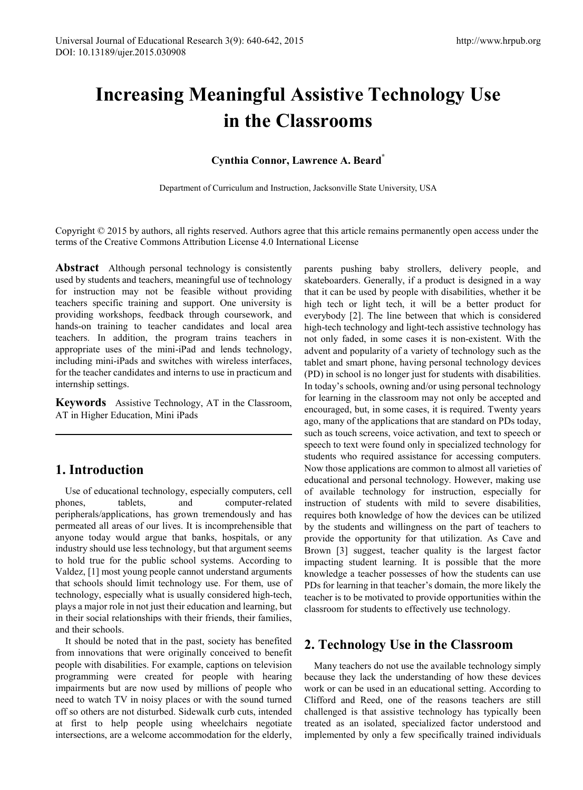# **Increasing Meaningful Assistive Technology Use in the Classrooms**

#### **Cynthia Connor, Lawrence A. Beard\***

Department of Curriculum and Instruction, Jacksonville State University, USA

Copyright © 2015 by authors, all rights reserved. Authors agree that this article remains permanently open access under the terms of the Creative Commons Attribution License 4.0 International License

**Abstract** Although personal technology is consistently used by students and teachers, meaningful use of technology for instruction may not be feasible without providing teachers specific training and support. One university is providing workshops, feedback through coursework, and hands-on training to teacher candidates and local area teachers. In addition, the program trains teachers in appropriate uses of the mini-iPad and lends technology, including mini-iPads and switches with wireless interfaces, for the teacher candidates and interns to use in practicum and internship settings.

**Keywords** Assistive Technology, AT in the Classroom, AT in Higher Education, Mini iPads

# **1. Introduction**

Use of educational technology, especially computers, cell phones, tablets, and computer-related peripherals/applications, has grown tremendously and has permeated all areas of our lives. It is incomprehensible that anyone today would argue that banks, hospitals, or any industry should use less technology, but that argument seems to hold true for the public school systems. According to Valdez, [1] most young people cannot understand arguments that schools should limit technology use. For them, use of technology, especially what is usually considered high-tech, plays a major role in not just their education and learning, but in their social relationships with their friends, their families, and their schools.

It should be noted that in the past, society has benefited from innovations that were originally conceived to benefit people with disabilities. For example, captions on television programming were created for people with hearing impairments but are now used by millions of people who need to watch TV in noisy places or with the sound turned off so others are not disturbed. Sidewalk curb cuts, intended at first to help people using wheelchairs negotiate intersections, are a welcome accommodation for the elderly,

parents pushing baby strollers, delivery people, and skateboarders. Generally, if a product is designed in a way that it can be used by people with disabilities, whether it be high tech or light tech, it will be a better product for everybody [2]. The line between that which is considered high-tech technology and light-tech assistive technology has not only faded, in some cases it is non-existent. With the advent and popularity of a variety of technology such as the tablet and smart phone, having personal technology devices (PD) in school is no longer just for students with disabilities. In today's schools, owning and/or using personal technology for learning in the classroom may not only be accepted and encouraged, but, in some cases, it is required. Twenty years ago, many of the applications that are standard on PDs today, such as touch screens, voice activation, and text to speech or speech to text were found only in specialized technology for students who required assistance for accessing computers. Now those applications are common to almost all varieties of educational and personal technology. However, making use of available technology for instruction, especially for instruction of students with mild to severe disabilities, requires both knowledge of how the devices can be utilized by the students and willingness on the part of teachers to provide the opportunity for that utilization. As Cave and Brown [3] suggest, teacher quality is the largest factor impacting student learning. It is possible that the more knowledge a teacher possesses of how the students can use PDs for learning in that teacher's domain, the more likely the teacher is to be motivated to provide opportunities within the classroom for students to effectively use technology.

## **2. Technology Use in the Classroom**

Many teachers do not use the available technology simply because they lack the understanding of how these devices work or can be used in an educational setting. According to Clifford and Reed, one of the reasons teachers are still challenged is that assistive technology has typically been treated as an isolated, specialized factor understood and implemented by only a few specifically trained individuals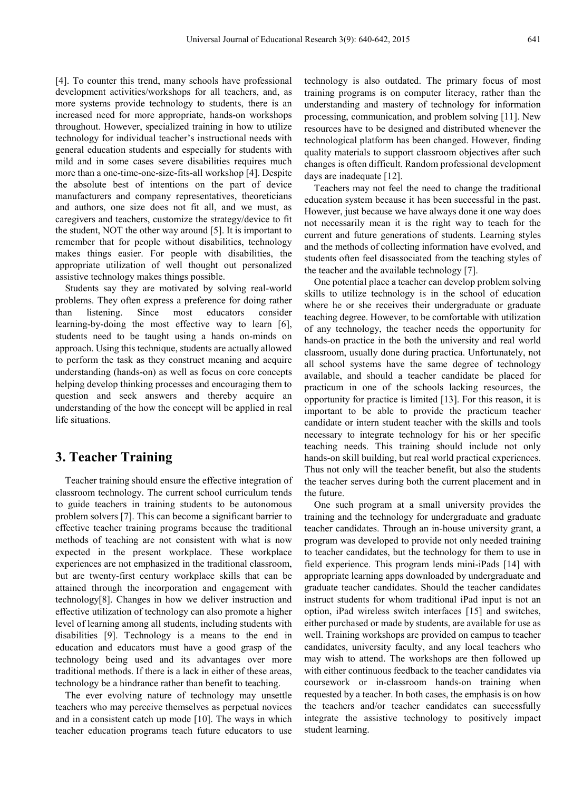[4]. To counter this trend, many schools have professional development activities/workshops for all teachers, and, as more systems provide technology to students, there is an increased need for more appropriate, hands-on workshops throughout. However, specialized training in how to utilize technology for individual teacher's instructional needs with general education students and especially for students with mild and in some cases severe disabilities requires much more than a one-time-one-size-fits-all workshop [4]. Despite the absolute best of intentions on the part of device manufacturers and company representatives, theoreticians and authors, one size does not fit all, and we must, as caregivers and teachers, customize the strategy/device to fit the student, NOT the other way around [5]. It is important to remember that for people without disabilities, technology makes things easier. For people with disabilities, the appropriate utilization of well thought out personalized assistive technology makes things possible.

Students say they are motivated by solving real-world problems. They often express a preference for doing rather than listening. Since most educators consider learning-by-doing the most effective way to learn [6], students need to be taught using a hands on-minds on approach. Using this technique, students are actually allowed to perform the task as they construct meaning and acquire understanding (hands-on) as well as focus on core concepts helping develop thinking processes and encouraging them to question and seek answers and thereby acquire an understanding of the how the concept will be applied in real life situations.

## **3. Teacher Training**

Teacher training should ensure the effective integration of classroom technology. The current school curriculum tends to guide teachers in training students to be autonomous problem solvers [7]. This can become a significant barrier to effective teacher training programs because the traditional methods of teaching are not consistent with what is now expected in the present workplace. These workplace experiences are not emphasized in the traditional classroom, but are twenty-first century workplace skills that can be attained through the incorporation and engagement with technology[8]. Changes in how we deliver instruction and effective utilization of technology can also promote a higher level of learning among all students, including students with disabilities [9]. Technology is a means to the end in education and educators must have a good grasp of the technology being used and its advantages over more traditional methods. If there is a lack in either of these areas, technology be a hindrance rather than benefit to teaching.

The ever evolving nature of technology may unsettle teachers who may perceive themselves as perpetual novices and in a consistent catch up mode [10]. The ways in which teacher education programs teach future educators to use

technology is also outdated. The primary focus of most training programs is on computer literacy, rather than the understanding and mastery of technology for information processing, communication, and problem solving [11]. New resources have to be designed and distributed whenever the technological platform has been changed. However, finding quality materials to support classroom objectives after such changes is often difficult. Random professional development days are inadequate [12].

Teachers may not feel the need to change the traditional education system because it has been successful in the past. However, just because we have always done it one way does not necessarily mean it is the right way to teach for the current and future generations of students. Learning styles and the methods of collecting information have evolved, and students often feel disassociated from the teaching styles of the teacher and the available technology [7].

One potential place a teacher can develop problem solving skills to utilize technology is in the school of education where he or she receives their undergraduate or graduate teaching degree. However, to be comfortable with utilization of any technology, the teacher needs the opportunity for hands-on practice in the both the university and real world classroom, usually done during practica. Unfortunately, not all school systems have the same degree of technology available, and should a teacher candidate be placed for practicum in one of the schools lacking resources, the opportunity for practice is limited [13]. For this reason, it is important to be able to provide the practicum teacher candidate or intern student teacher with the skills and tools necessary to integrate technology for his or her specific teaching needs. This training should include not only hands-on skill building, but real world practical experiences. Thus not only will the teacher benefit, but also the students the teacher serves during both the current placement and in the future.

One such program at a small university provides the training and the technology for undergraduate and graduate teacher candidates. Through an in-house university grant, a program was developed to provide not only needed training to teacher candidates, but the technology for them to use in field experience. This program lends mini-iPads [14] with appropriate learning apps downloaded by undergraduate and graduate teacher candidates. Should the teacher candidates instruct students for whom traditional iPad input is not an option, iPad wireless switch interfaces [15] and switches, either purchased or made by students, are available for use as well. Training workshops are provided on campus to teacher candidates, university faculty, and any local teachers who may wish to attend. The workshops are then followed up with either continuous feedback to the teacher candidates via coursework or in-classroom hands-on training when requested by a teacher. In both cases, the emphasis is on how the teachers and/or teacher candidates can successfully integrate the assistive technology to positively impact student learning.